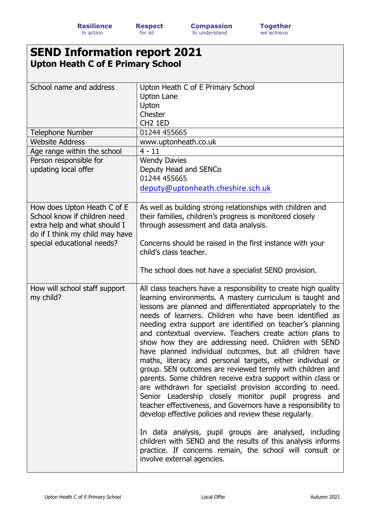## **SEND Information report 2021 Upton Heath C of E Primary School**

| School name and address<br>Telephone Number                                                                                                                  | Upton Heath C of E Primary School<br><b>Upton Lane</b><br>Upton<br>Chester<br>CH <sub>2</sub> 1ED<br>01244 455665                                                                                                                                                                                                                                                                                                                                                                                                                                                                                                                                                                                                                                                                                                                                                                                                                                                                                                                                                                                                                                                  |  |  |  |
|--------------------------------------------------------------------------------------------------------------------------------------------------------------|--------------------------------------------------------------------------------------------------------------------------------------------------------------------------------------------------------------------------------------------------------------------------------------------------------------------------------------------------------------------------------------------------------------------------------------------------------------------------------------------------------------------------------------------------------------------------------------------------------------------------------------------------------------------------------------------------------------------------------------------------------------------------------------------------------------------------------------------------------------------------------------------------------------------------------------------------------------------------------------------------------------------------------------------------------------------------------------------------------------------------------------------------------------------|--|--|--|
| <b>Website Address</b>                                                                                                                                       | www.uptonheath.co.uk                                                                                                                                                                                                                                                                                                                                                                                                                                                                                                                                                                                                                                                                                                                                                                                                                                                                                                                                                                                                                                                                                                                                               |  |  |  |
| Age range within the school                                                                                                                                  | $4 - 11$                                                                                                                                                                                                                                                                                                                                                                                                                                                                                                                                                                                                                                                                                                                                                                                                                                                                                                                                                                                                                                                                                                                                                           |  |  |  |
| Person responsible for<br>updating local offer                                                                                                               | <b>Wendy Davies</b><br>Deputy Head and SENCo<br>01244 455665<br>deputy@uptonheath.cheshire.sch.uk                                                                                                                                                                                                                                                                                                                                                                                                                                                                                                                                                                                                                                                                                                                                                                                                                                                                                                                                                                                                                                                                  |  |  |  |
| How does Upton Heath C of E<br>School know if children need<br>extra help and what should I<br>do if I think my child may have<br>special educational needs? | As well as building strong relationships with children and<br>their families, children's progress is monitored closely<br>through assessment and data analysis.<br>Concerns should be raised in the first instance with your<br>child's class teacher.<br>The school does not have a specialist SEND provision.                                                                                                                                                                                                                                                                                                                                                                                                                                                                                                                                                                                                                                                                                                                                                                                                                                                    |  |  |  |
| How will school staff support<br>my child?                                                                                                                   | All class teachers have a responsibility to create high quality<br>learning environments. A mastery curriculum is taught and<br>lessons are planned and differentiated appropriately to the<br>needs of learners. Children who have been identified as<br>needing extra support are identified on teacher's planning<br>and contextual overview. Teachers create action plans to<br>show how they are addressing need. Children with SEND<br>have planned individual outcomes, but all children have<br>maths, literacy and personal targets, either individual or<br>group. SEN outcomes are reviewed termly with children and<br>parents. Some children receive extra support within class or<br>are withdrawn for specialist provision according to need.<br>Senior Leadership closely monitor pupil progress and<br>teacher effectiveness, and Governors have a responsibility to<br>develop effective policies and review these regularly.<br>In data analysis, pupil groups are analysed, including<br>children with SEND and the results of this analysis informs<br>practice. If concerns remain, the school will consult or<br>involve external agencies. |  |  |  |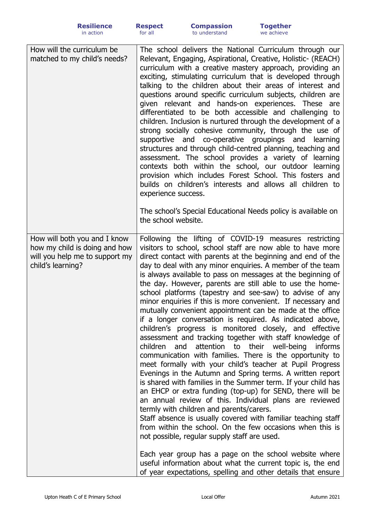| How will the curriculum be<br>matched to my child's needs?    | The school delivers the National Curriculum through our<br>Relevant, Engaging, Aspirational, Creative, Holistic- (REACH)<br>curriculum with a creative mastery approach, providing an<br>exciting, stimulating curriculum that is developed through<br>talking to the children about their areas of interest and<br>questions around specific curriculum subjects, children are<br>given relevant and hands-on experiences. These are<br>differentiated to be both accessible and challenging to<br>children. Inclusion is nurtured through the development of a<br>strong socially cohesive community, through the use of<br>supportive and co-operative groupings and<br>learning<br>structures and through child-centred planning, teaching and<br>assessment. The school provides a variety of learning<br>contexts both within the school, our outdoor learning<br>provision which includes Forest School. This fosters and<br>builds on children's interests and allows all children to<br>experience success.<br>The school's Special Educational Needs policy is available on<br>the school website.                                                                                                                                                                                                                                                         |
|---------------------------------------------------------------|----------------------------------------------------------------------------------------------------------------------------------------------------------------------------------------------------------------------------------------------------------------------------------------------------------------------------------------------------------------------------------------------------------------------------------------------------------------------------------------------------------------------------------------------------------------------------------------------------------------------------------------------------------------------------------------------------------------------------------------------------------------------------------------------------------------------------------------------------------------------------------------------------------------------------------------------------------------------------------------------------------------------------------------------------------------------------------------------------------------------------------------------------------------------------------------------------------------------------------------------------------------------------------------------------------------------------------------------------------------------|
| How will both you and I know<br>how my child is doing and how | Following the lifting of COVID-19 measures restricting<br>visitors to school, school staff are now able to have more                                                                                                                                                                                                                                                                                                                                                                                                                                                                                                                                                                                                                                                                                                                                                                                                                                                                                                                                                                                                                                                                                                                                                                                                                                                 |
| will you help me to support my<br>child's learning?           | direct contact with parents at the beginning and end of the<br>day to deal with any minor enquiries. A member of the team<br>is always available to pass on messages at the beginning of<br>the day. However, parents are still able to use the home-<br>school platforms (tapestry and see-saw) to advise of any<br>minor enquiries if this is more convenient. If necessary and<br>mutually convenient appointment can be made at the office<br>if a longer conversation is required. As indicated above,<br>children's progress is monitored closely, and effective<br>assessment and tracking together with staff knowledge of<br>children<br>and<br>attention to their well-being<br>informs<br>communication with families. There is the opportunity to<br>meet formally with your child's teacher at Pupil Progress<br>Evenings in the Autumn and Spring terms. A written report<br>is shared with families in the Summer term. If your child has<br>an EHCP or extra funding (top-up) for SEND, there will be<br>an annual review of this. Individual plans are reviewed<br>termly with children and parents/carers.<br>Staff absence is usually covered with familiar teaching staff<br>from within the school. On the few occasions when this is<br>not possible, regular supply staff are used.<br>Each year group has a page on the school website where |
|                                                               | useful information about what the current topic is, the end<br>of year expectations, spelling and other details that ensure                                                                                                                                                                                                                                                                                                                                                                                                                                                                                                                                                                                                                                                                                                                                                                                                                                                                                                                                                                                                                                                                                                                                                                                                                                          |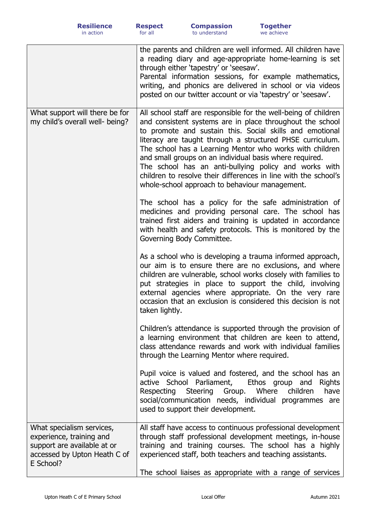|                                                                                                                                   | the parents and children are well informed. All children have<br>a reading diary and age-appropriate home-learning is set<br>through either 'tapestry' or 'seesaw'.<br>Parental information sessions, for example mathematics,<br>writing, and phonics are delivered in school or via videos<br>posted on our twitter account or via 'tapestry' or 'seesaw'.                                                                                                                                                                                               |
|-----------------------------------------------------------------------------------------------------------------------------------|------------------------------------------------------------------------------------------------------------------------------------------------------------------------------------------------------------------------------------------------------------------------------------------------------------------------------------------------------------------------------------------------------------------------------------------------------------------------------------------------------------------------------------------------------------|
| What support will there be for<br>my child's overall well- being?                                                                 | All school staff are responsible for the well-being of children<br>and consistent systems are in place throughout the school<br>to promote and sustain this. Social skills and emotional<br>literacy are taught through a structured PHSE curriculum.<br>The school has a Learning Mentor who works with children<br>and small groups on an individual basis where required.<br>The school has an anti-bullying policy and works with<br>children to resolve their differences in line with the school's<br>whole-school approach to behaviour management. |
|                                                                                                                                   | The school has a policy for the safe administration of<br>medicines and providing personal care. The school has<br>trained first aiders and training is updated in accordance<br>with health and safety protocols. This is monitored by the<br>Governing Body Committee.                                                                                                                                                                                                                                                                                   |
|                                                                                                                                   | As a school who is developing a trauma informed approach,<br>our aim is to ensure there are no exclusions, and where<br>children are vulnerable, school works closely with families to<br>put strategies in place to support the child, involving<br>external agencies where appropriate. On the very rare<br>occasion that an exclusion is considered this decision is not<br>taken lightly.                                                                                                                                                              |
|                                                                                                                                   | Children's attendance is supported through the provision of<br>a learning environment that children are keen to attend,<br>class attendance rewards and work with individual families<br>through the Learning Mentor where required.                                                                                                                                                                                                                                                                                                                       |
|                                                                                                                                   | Pupil voice is valued and fostered, and the school has an<br>active School Parliament,<br>Ethos group and<br><b>Rights</b><br>Respecting Steering Group. Where<br>children<br>have<br>social/communication needs, individual programmes are<br>used to support their development.                                                                                                                                                                                                                                                                          |
| What specialism services,<br>experience, training and<br>support are available at or<br>accessed by Upton Heath C of<br>E School? | All staff have access to continuous professional development<br>through staff professional development meetings, in-house<br>training and training courses. The school has a highly<br>experienced staff, both teachers and teaching assistants.<br>The school liaises as appropriate with a range of services                                                                                                                                                                                                                                             |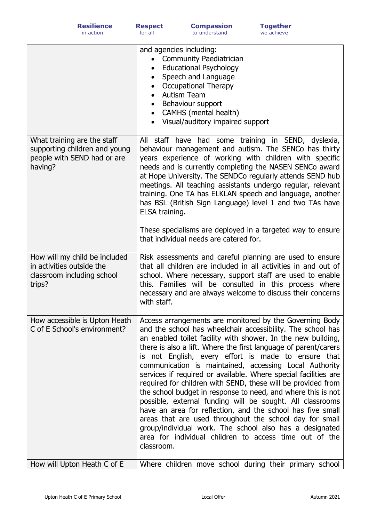|                                                                                                        | and agencies including:<br><b>Community Paediatrician</b><br>$\bullet$<br><b>Educational Psychology</b><br>$\bullet$<br>Speech and Language<br><b>Occupational Therapy</b><br>• Autism Team<br>Behaviour support<br>• CAMHS (mental health)<br>Visual/auditory impaired support                                                                                                                                                                                                                                                                                                                                                                                                                                                                                                                                                                                                                        |
|--------------------------------------------------------------------------------------------------------|--------------------------------------------------------------------------------------------------------------------------------------------------------------------------------------------------------------------------------------------------------------------------------------------------------------------------------------------------------------------------------------------------------------------------------------------------------------------------------------------------------------------------------------------------------------------------------------------------------------------------------------------------------------------------------------------------------------------------------------------------------------------------------------------------------------------------------------------------------------------------------------------------------|
| What training are the staff<br>supporting children and young<br>people with SEND had or are<br>having? | All staff have had some training in SEND, dyslexia,<br>behaviour management and autism. The SENCo has thirty<br>years experience of working with children with specific<br>needs and is currently completing the NASEN SENCo award<br>at Hope University. The SENDCo regularly attends SEND hub<br>meetings. All teaching assistants undergo regular, relevant<br>training. One TA has ELKLAN speech and language, another<br>has BSL (British Sign Language) level 1 and two TAs have<br>ELSA training.<br>These specialisms are deployed in a targeted way to ensure<br>that individual needs are catered for.                                                                                                                                                                                                                                                                                       |
| How will my child be included<br>in activities outside the<br>classroom including school<br>trips?     | Risk assessments and careful planning are used to ensure<br>that all children are included in all activities in and out of<br>school. Where necessary, support staff are used to enable<br>this. Families will be consulted in this process where<br>necessary and are always welcome to discuss their concerns<br>with staff.                                                                                                                                                                                                                                                                                                                                                                                                                                                                                                                                                                         |
| How accessible is Upton Heath<br>C of E School's environment?                                          | Access arrangements are monitored by the Governing Body<br>and the school has wheelchair accessibility. The school has<br>an enabled toilet facility with shower. In the new building,<br>there is also a lift. Where the first language of parent/carers<br>is not English, every effort is made to ensure that<br>communication is maintained, accessing Local Authority<br>services if required or available. Where special facilities are<br>required for children with SEND, these will be provided from<br>the school budget in response to need, and where this is not<br>possible, external funding will be sought. All classrooms<br>have an area for reflection, and the school has five small<br>areas that are used throughout the school day for small<br>group/individual work. The school also has a designated<br>area for individual children to access time out of the<br>classroom. |
| How will Upton Heath C of E                                                                            | Where children move school during their primary school                                                                                                                                                                                                                                                                                                                                                                                                                                                                                                                                                                                                                                                                                                                                                                                                                                                 |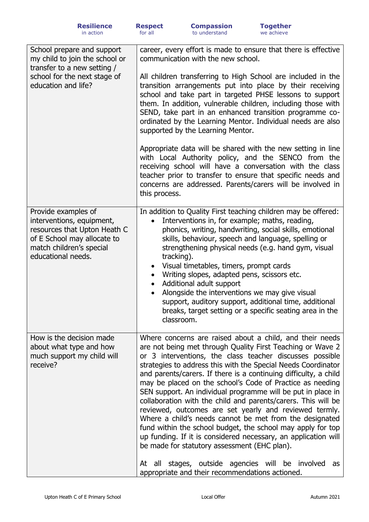| School prepare and support<br>my child to join the school or<br>transfer to a new setting /<br>school for the next stage of<br>education and life?                | career, every effort is made to ensure that there is effective<br>communication with the new school.<br>All children transferring to High School are included in the<br>transition arrangements put into place by their receiving<br>school and take part in targeted PHSE lessons to support<br>them. In addition, vulnerable children, including those with<br>SEND, take part in an enhanced transition programme co-<br>ordinated by the Learning Mentor. Individual needs are also<br>supported by the Learning Mentor.<br>Appropriate data will be shared with the new setting in line<br>with Local Authority policy, and the SENCO from the<br>receiving school will have a conversation with the class<br>teacher prior to transfer to ensure that specific needs and<br>concerns are addressed. Parents/carers will be involved in<br>this process.                                                                            |
|-------------------------------------------------------------------------------------------------------------------------------------------------------------------|------------------------------------------------------------------------------------------------------------------------------------------------------------------------------------------------------------------------------------------------------------------------------------------------------------------------------------------------------------------------------------------------------------------------------------------------------------------------------------------------------------------------------------------------------------------------------------------------------------------------------------------------------------------------------------------------------------------------------------------------------------------------------------------------------------------------------------------------------------------------------------------------------------------------------------------|
| Provide examples of<br>interventions, equipment,<br>resources that Upton Heath C<br>of E School may allocate to<br>match children's special<br>educational needs. | In addition to Quality First teaching children may be offered:<br>Interventions in, for example; maths, reading,<br>$\bullet$<br>phonics, writing, handwriting, social skills, emotional<br>skills, behaviour, speech and language, spelling or<br>strengthening physical needs (e.g. hand gym, visual<br>tracking).<br>Visual timetables, timers, prompt cards<br>$\bullet$<br>Writing slopes, adapted pens, scissors etc.<br>$\bullet$<br>Additional adult support<br>$\bullet$<br>Alongside the interventions we may give visual<br>support, auditory support, additional time, additional<br>breaks, target setting or a specific seating area in the<br>classroom.                                                                                                                                                                                                                                                                  |
| How is the decision made<br>about what type and how<br>much support my child will<br>receive?                                                                     | Where concerns are raised about a child, and their needs<br>are not being met through Quality First Teaching or Wave 2<br>or 3 interventions, the class teacher discusses possible<br>strategies to address this with the Special Needs Coordinator<br>and parents/carers. If there is a continuing difficulty, a child<br>may be placed on the school's Code of Practice as needing<br>SEN support. An individual programme will be put in place in<br>collaboration with the child and parents/carers. This will be<br>reviewed, outcomes are set yearly and reviewed termly.<br>Where a child's needs cannot be met from the designated<br>fund within the school budget, the school may apply for top<br>up funding. If it is considered necessary, an application will<br>be made for statutory assessment (EHC plan).<br>At all stages, outside agencies will be involved<br>as<br>appropriate and their recommendations actioned. |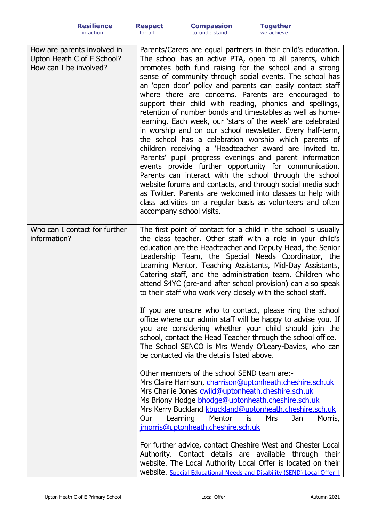| How are parents involved in<br>Upton Heath C of E School?<br>How can I be involved? | Parents/Carers are equal partners in their child's education.<br>The school has an active PTA, open to all parents, which<br>promotes both fund raising for the school and a strong<br>sense of community through social events. The school has<br>an 'open door' policy and parents can easily contact staff<br>where there are concerns. Parents are encouraged to<br>support their child with reading, phonics and spellings,<br>retention of number bonds and timestables as well as home-<br>learning. Each week, our 'stars of the week' are celebrated<br>in worship and on our school newsletter. Every half-term,<br>the school has a celebration worship which parents of<br>children receiving a 'Headteacher award are invited to.<br>Parents' pupil progress evenings and parent information<br>events provide further opportunity for communication.<br>Parents can interact with the school through the school<br>website forums and contacts, and through social media such<br>as Twitter. Parents are welcomed into classes to help with<br>class activities on a regular basis as volunteers and often<br>accompany school visits. |
|-------------------------------------------------------------------------------------|------------------------------------------------------------------------------------------------------------------------------------------------------------------------------------------------------------------------------------------------------------------------------------------------------------------------------------------------------------------------------------------------------------------------------------------------------------------------------------------------------------------------------------------------------------------------------------------------------------------------------------------------------------------------------------------------------------------------------------------------------------------------------------------------------------------------------------------------------------------------------------------------------------------------------------------------------------------------------------------------------------------------------------------------------------------------------------------------------------------------------------------------------|
| Who can I contact for further<br>information?                                       | The first point of contact for a child in the school is usually<br>the class teacher. Other staff with a role in your child's<br>education are the Headteacher and Deputy Head, the Senior<br>Leadership Team, the Special Needs Coordinator, the<br>Learning Mentor, Teaching Assistants, Mid-Day Assistants,<br>Catering staff, and the administration team. Children who<br>attend S4YC (pre-and after school provision) can also speak<br>to their staff who work very closely with the school staff.                                                                                                                                                                                                                                                                                                                                                                                                                                                                                                                                                                                                                                            |
|                                                                                     | If you are unsure who to contact, please ring the school<br>office where our admin staff will be happy to advise you. If<br>you are considering whether your child should join the<br>school, contact the Head Teacher through the school office.<br>The School SENCO is Mrs Wendy O'Leary-Davies, who can<br>be contacted via the details listed above.                                                                                                                                                                                                                                                                                                                                                                                                                                                                                                                                                                                                                                                                                                                                                                                             |
|                                                                                     | Other members of the school SEND team are:-<br>Mrs Claire Harrison, charrison@uptonheath.cheshire.sch.uk<br>Mrs Charlie Jones cwild@uptonheath.cheshire.sch.uk<br>Ms Briony Hodge bhodge@uptonheath.cheshire.sch.uk<br>Mrs Kerry Buckland kbuckland@uptonheath.cheshire.sch.uk<br>Learning<br>Mentor<br>Our<br>is<br><b>Mrs</b><br>Jan<br>Morris,<br>jmorris@uptonheath.cheshire.sch.uk                                                                                                                                                                                                                                                                                                                                                                                                                                                                                                                                                                                                                                                                                                                                                              |
|                                                                                     | For further advice, contact Cheshire West and Chester Local<br>Authority. Contact details are available through their<br>website. The Local Authority Local Offer is located on their<br>Website. Special Educational Needs and Disability (SEND) Local Offer                                                                                                                                                                                                                                                                                                                                                                                                                                                                                                                                                                                                                                                                                                                                                                                                                                                                                        |